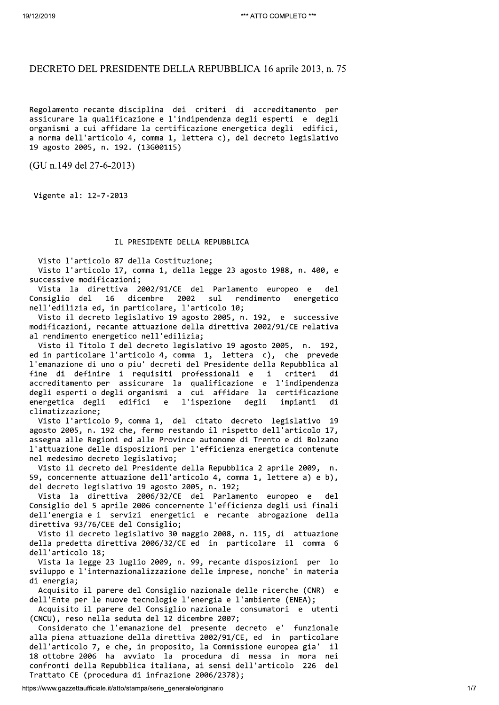# DECRETO DEL PRESIDENTE DELLA REPUBBLICA 16 aprile 2013, n. 75

Regolamento recante disciplina dei criteri di accreditamento per assicurare la qualificazione e l'indipendenza degli esperti e degli organismi a cui affidare la certificazione energetica degli edifici, a norma dell'articolo 4, comma 1, lettera c), del decreto legislativo 19 agosto 2005, n. 192. (13G00115)

(GU n.149 del 27-6-2013)

Vigente al: 12-7-2013

## IL PRESIDENTE DELLA REPUBBLICA

Visto l'articolo 87 della Costituzione;

Visto l'articolo 17, comma 1, della legge 23 agosto 1988, n. 400, e successive modificazioni;

Vista la direttiva 2002/91/CE del Parlamento europeo e  $de<sub>1</sub>$ dicembre 2002  $su1$ rendimento Consiglio del 16 energetico nell'edilizia ed, in particolare, l'articolo 10;

Visto il decreto legislativo 19 agosto 2005, n. 192, e successive modificazioni, recante attuazione della direttiva 2002/91/CE relativa al rendimento energetico nell'edilizia:

Visto il Titolo I del decreto legislativo 19 agosto 2005, n. 192, ed in particolare l'articolo 4, comma 1, lettera c), che prevede l'emanazione di uno o piu' decreti del Presidente della Repubblica al fine di definire i requisiti professionali e  $\mathbf{i}$ criteri di accreditamento per assicurare la qualificazione e l'indipendenza degli esperti o degli organismi a cui affidare la certificazione edifici l'ispezione energetica degli  $\epsilon$ degli impianti di climatizzazione:

Visto l'articolo 9, comma 1, del citato decreto legislativo 19 agosto 2005, n. 192 che, fermo restando il rispetto dell'articolo 17, assegna alle Regioni ed alle Province autonome di Trento e di Bolzano l'attuazione delle disposizioni per l'efficienza energetica contenute nel medesimo decreto legislativo:

Visto il decreto del Presidente della Repubblica 2 aprile 2009, n. 59, concernente attuazione dell'articolo 4, comma 1, lettere a) e b), del decreto legislativo 19 agosto 2005, n. 192;

Vista la direttiva 2006/32/CE del Parlamento europeo e del. Consiglio del 5 aprile 2006 concernente l'efficienza degli usi finali dell'energia e i servizi energetici e recante abrogazione della direttiva 93/76/CEE del Consiglio;

Visto il decreto legislativo 30 maggio 2008, n. 115, di attuazione della predetta direttiva 2006/32/CE ed in particolare il comma 6 dell'articolo 18:

Vista la legge 23 luglio 2009, n. 99, recante disposizioni per lo sviluppo e l'internazionalizzazione delle imprese, nonche' in materia di energia;

Acquisito il parere del Consiglio nazionale delle ricerche (CNR) e dell'Ente per le nuove tecnologie l'energia e l'ambiente (ENEA);

Acquisito il parere del Consiglio nazionale consumatori e utenti (CNCU), reso nella seduta del 12 dicembre 2007;

Considerato che l'emanazione del presente decreto e' funzionale alla piena attuazione della direttiva 2002/91/CE, ed in particolare dell'articolo 7, e che, in proposito, la Commissione europea gia'  $-11$ 18 ottobre 2006 ha avviato la procedura di messa in mora nei confronti della Repubblica italiana, ai sensi dell'articolo 226 del Trattato CE (procedura di infrazione 2006/2378);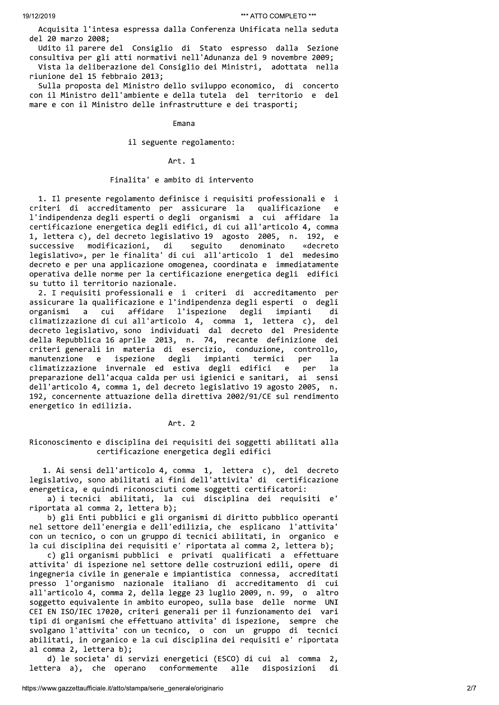Acquisita l'intesa espressa dalla Conferenza Unificata nella seduta del 20 marzo 2008;

Udito il parere del Consiglio di Stato espresso dalla Sezione consultiva per gli atti normativi nell'Adunanza del 9 novembre 2009; Vista la deliberazione del Consiglio dei Ministri, adottata nella riunione del 15 febbraio 2013;

Sulla proposta del Ministro dello sviluppo economico, di concerto con il Ministro dell'ambiente e della tutela del territorio e del mare e con il Ministro delle infrastrutture e dei trasporti;

**Fmana** 

il seguente regolamento:

Art. 1

# Finalita' e ambito di intervento

1. Il presente regolamento definisce i requisiti professionali e i criteri di accreditamento per assicurare la qualificazione e l'indipendenza degli esperti o degli organismi a cui affidare la certificazione energetica degli edifici, di cui all'articolo 4, comma 1, lettera c), del decreto legislativo 19 agosto 2005, n. 192,  $\epsilon$ successive modificazioni, di seguito denominato «decreto legislativo», per le finalita' di cui all'articolo 1 del medesimo decreto e per una applicazione omogenea, coordinata e immediatamente operativa delle norme per la certificazione energetica degli edifici su tutto il territorio nazionale.

2. I requisiti professionali e i criteri di accreditamento per assicurare la qualificazione e l'indipendenza degli esperti o degli l'ispezione affidare degli impianti organismi  $\overline{a}$ cui di climatizzazione di cui all'articolo 4, comma 1, lettera c), de<sub>1</sub> decreto legislativo, sono individuati dal decreto del Presidente della Repubblica 16 aprile 2013, n. 74, recante definizione dei criteri generali in materia di esercizio, conduzione, controllo, degli ispezione impianti manutenzione  $\epsilon$ termici ner la climatizzazione invernale ed estiva degli edifici  $\mathsf{e}$ per la preparazione dell'acqua calda per usi igienici e sanitari, ai sensi dell'articolo 4, comma 1, del decreto legislativo 19 agosto 2005, n. 192, concernente attuazione della direttiva 2002/91/CE sul rendimento energetico in edilizia.

Art. 2

Riconoscimento e disciplina dei requisiti dei soggetti abilitati alla certificazione energetica degli edifici

1. Ai sensi dell'articolo 4, comma 1, lettera c), del decreto legislativo, sono abilitati ai fini dell'attivita' di certificazione energetica, e quindi riconosciuti come soggetti certificatori:

a) i tecnici abilitati, la cui disciplina dei requisiti e' riportata al comma 2, lettera b);

b) gli Enti pubblici e gli organismi di diritto pubblico operanti nel settore dell'energia e dell'edilizia, che esplicano l'attivita' con un tecnico, o con un gruppo di tecnici abilitati, in organico e la cui disciplina dei requisiti e' riportata al comma 2, lettera b);

c) gli organismi pubblici e privati qualificati a effettuare attivita' di ispezione nel settore delle costruzioni edili, opere di ingegneria civile in generale e impiantistica connessa, accreditati presso l'organismo nazionale italiano di accreditamento di cui all'articolo 4, comma 2, della legge 23 luglio 2009, n. 99, o altro soggetto equivalente in ambito europeo, sulla base delle norme UNI CEI EN ISO/IEC 17020, criteri generali per il funzionamento dei vari tipi di organismi che effettuano attivita' di ispezione, sempre che svolgano l'attivita' con un tecnico, o con un gruppo di tecnici abilitati, in organico e la cui disciplina dei requisiti e' riportata al comma 2, lettera b);

d) le societa' di servizi energetici (ESCO) di cui al comma  $\overline{2}$ . conformemente lettera a), che operano alle disposizioni di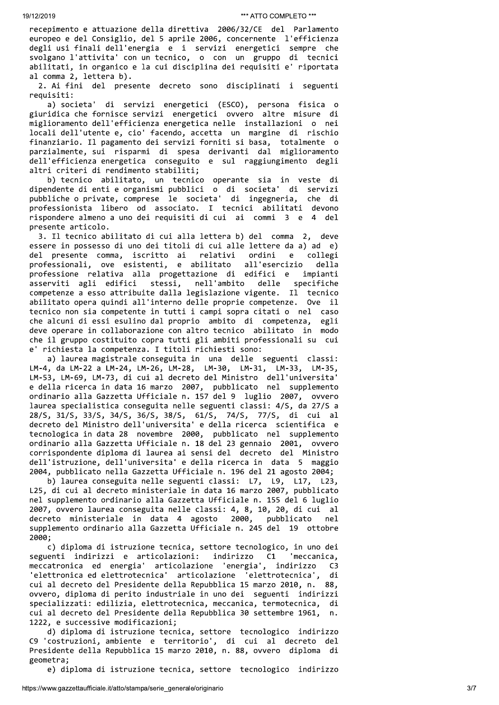"WE ATTO COMPLETO"<br>
"WE ATTO COMPLETO"<br>
"ATTO COMPLETO"<br>
"WE ATTO COMPLETO"<br>
"COMPLETO"<br>
"COMPLETO"<br>
"COMPLETO"<br>
"ATTO COMPLETO"<br>
"ATTO COMPLETO"<br>
"ATTO COMPLETO"<br>
"ATTO COMPLETO"<br>
"ATTO COMPLETO"<br>
"ATTO COMPLETO"<br>
"ATTO C <sup>49/12/2019</sup><br>
"\*ATTO COMPLETO \*\*\*<br>
recepimento e attuazione della direttiva 2006/32/CE del Parlamento<br>
europeo e del Consiglio, del 5 aprile 2006, concernente l'efficienza<br>
degli usi finali dell'energia e i servizi energet <sup>112/2019</sup><br>
<sup>\*\*\*</sup>ATTO COMPLETO \*\*\*<br>
recepimento e attuazione della direttiva 2006/32/CE del Parlamento<br>
europeo e del Consiglio, del 5 aprile 2006, concernente l'efficienza<br>
degli usi finali dell'energia e i servizi energe \*\*\*ATTO COMPLETO \*\*\*<br>
recepimento e attuazione della direttiva 2006/32/CE del Parlamento<br>
europeo e del Consiglio, del 5 aprile 2006, concernente l'efficienza<br>
degli usi finali dell'energia e i servizi energetici sempre ch <sup>49/12/2019</sup><br>
<sup>44</sup>/4710 cOMPLETO<br>
<sup>44</sup>/4710 cOMPLETO<br>
<sup>44</sup>/4710 compressor<br>
europeo e del Consiglio, del 5 aprile 2006, concernete l'efficienza<br>
degli usi finali dell'energia e i servizi energetici sempre che<br>
svolgano l'a

19/12/2019<br>
recepimento e attuazione della dire<br>
europeo e del Consiglio, del 5 apri<br>
degli usi finali dell'energia e i<br>
svolgano l'attivita' con un tecnico<br>
abilitati, in organico e la cui dis<br>
al comma 2, lettera b).<br>
2. "ATTO COMPLETO""<br>
""ATTO COMPLETO""<br>
recepimento e attuazione della direttiva 2006/32/CE del Parlamento<br>
europeo e del Consiglio, del 5 aprile 2006, concernente l'efficienza<br>
degli usi finali dell'energia e i servizi energ recepimento e attu<br>
recepimento e attu<br>
europeo e del Cons<br>
degli usi finali d<br>
svolgano l'attivit<br>
abilitati, in orga<br>
al comma 2, letter<br>
2. Ai fini del<br>
requisiti:<br>
a) societa' d<br>
giuridica che forn<br>
miglioramento dell<br> recepimento e attuazione della direttiva 2006/32/CE del Parlamento<br>europeo e del Consiglio, del 5 aprile 2006, concernente l'efficienza<br>degli usi finali dell'energia e i servizi energetici sempre che<br>esvolgano l'attivita' europeo e del Consiglio, del 5 aprile 2006, concernente l'efficienza<br>degli usi finali dell'energia e i servizi energetici sempre che<br>svolgano l'attivita' con un tecnico, o con un gruppo di tecnici<br>abilitati, in organico e degli usi finali dell'energia e i servizi energetici sempre che<br>svolgano l'attivita' con un tecnico, o con un gruppo di tecnici<br>abilitati, in organico e la cui disciplina dei requisiti e 'riportata<br>al comma 2, lettera b).<br> svolgano l'attivita' con un tecnico, o con un gruppo di tecnici<br>abilitati, in organico e la cui disciplina dei requisiti e' riportata<br>al comma 2, lettera b).<br>2. Ai fini del presente decreto sono disciplinati i seguenti<br>req abilitati, in organico e la cui disciplina dei requisiti e' riportata<br>al comma 2, lettera b).<br>2. Ai fini del presente decreto sono disciplinati i seguenti<br>requisiti:<br>a) societa' di servizi energetici (ESCO), persona fisica al comma 2, lettera b).<br>
2. Ai fini del presente decreto sono disciplinati i seguenti<br>
requisiti:<br>
a) societa' di servizi energetici (ESCO), persona fisica o<br>
giuridica che formisce servizi energetica ovvero altre misure d 2. Ai fini del presente decreto sono disciplinati i seguenti<br>requisiti:<br>requisiti:<br>el a) societa' di servizi energetici (ESCO), persona fisica o<br>giuridica che fornisce servizi energetici ovvero altre misure di<br>migliorament requisiti:<br>
a) societa' di servizi energetici<br>
giuridica che fornisce servizi energetica<br>
miglioramento dell'efficienza energetica<br>
locali dell'utente e, cio' facendo, accet<br>
finanziario. Il pagamento dei servizi for<br>
parz a) societa' di servizi energetici (ESCO), persona fisica o<br>giuridica che fornisce servizi energetici ovvero altre misure di<br>miglioramento dell'efficienza energetica nelle installazioni o nei<br>locali dell'utente e, cio'facen giuridica che fornisce servizi energetici ovvero altre misure di<br>miglioramento dell'efficinza energetica nelle installazioni o nei<br>iocali dell'utente e, cio' facendo, accetta un margine di rischio<br>finanziario. Il pagamento miglioramento dell'efficienza energetica nelle installazioni o nei<br>locali dell'uetne e, cio' facendo, accetta un margine di rischio<br>finanziario. Il pagamento dei servizi forniti si basa, totalmente o<br>parzialmente, sui risp

locali dell'utente e, cio' facendo, accetta un margine di rischio<br>finanziario. Il pagamento dei servizi forniti si basa, totalmente o<br>parzialmente, sui risparmi di spesa derivanti dal miglioramento<br>dell'efficienza energeti finanziario. Il pagamento dei servizi forniti si basa, totalmente o<br>parzialmente, sui risparmi di spesa derivanti dal miglioramento<br>dell'efficienza energetia conseguito e sul raggiungimento degli<br>altri criteri di rendiment parzialmente, sui risparmi<br>dell'efficienza energetica<br>altri criteri di rendimento<br>b) tecnico abilitato,<br>dipendente di enti e organis<br>pubbliche o private, compres<br>professionista libero od<br>rispondere almeno a uno dei<br>present dell'efficienza energetica conseguito e sul raggiungimento degli<br>altri criteri di rendimento stabiliti;<br>b) tecnico abilitato, un tecnico operante sia in veste di<br>dipendente di enti e organismi pubblici o di societa' di ser altri criteri di rendimento stabiliti;<br>
b) etcnico abbiliatto, un tecnico operante sia in veste di<br>
dipendente di enti e organismi pubblici o di societa' di servizi<br>
pubbliche o private, comprese le societa' di ingegneria, b) tecnico abilitato, un tecnico operante sia in veste di<br>dipendente di entri e roganismi pubblici o di societa' di servizi<br>pubbliche o private, comprese le societa' di ingegneria, che di<br>professionista libero od associato dipendente di enti e organismi pubblici o di societa' di servizi<br>pubbliche o private, comprese le societa' di ingegeneia, che di<br>professionista libero od associato. I tecnici abilitati devono<br>rispondere almeno a uno dei re pubbliche o private, comprese le societa' di ingegneria, che di<br>professionista libero od associato. I tecnici abilitati devono<br>rispondere almeno a uno dei requisiti di cui ai commi 3 e 4 del<br>presente articolo.<br>3. Il tecnic professionista libero od associato. I tecnici abilitati devono<br>risponder almeno a uno dei requisiti di cui ai commi 3 e 4 del<br>presente articolo.<br>3. Il tecnico abilitato di cui alla lettera b) del comma 2, deve<br>essere in po rispondere almeno a uno dei requisiti di cui ai commi 3 e 4 del<br>presente articolo.<br>3. Il tecnico abilitato di cui alla lettera b) del comma 2, deve<br>essere in possesso di uno dei titoli di cui alle lettere da a) ad e)<br>del p presente articolo.<br>3. Il tecnico abilitato di cui alla lettera b) del comma 2, deve<br>3. Il tecnico abilitato di cui alle lettera da a) ad e)<br>del presente comma, iscritto ai relativi ordini e collegi<br>professionali, ove esist 3. Il tecnico abilitato di cui alla lettera b) del comma 2, deve<br>essere in possesso di uno dei titoli di cui alle lettere da a) ad e)<br>del professionali, ove esistenti, e abilitato all'esercizio della<br>professione relativa a essere in possesso di uno dei titoli di cui alle lettere da a) ad e)<br>del presente comma, iscritto ai relativi ordini e collegi<br>professione relativa alla progettazione di edifici e impianti<br>asserviti agli edifici stessi, ne del presente comma, iscritto ai relativi ordini e collegi<br>professionali, ove esistenti, e abilitato all'escrizio della<br>professione relativa alla progettazione di edifici e impianti<br>asserviti agli edifici stessi, nell'ambit professionali, ove esistenti, e abilitato all'esercizio della<br>professione relativa alla progettazione di edifici e impianti<br>asserviti agli edifici stessi, nell'ambito delle specifiche<br>competenze a esso attribuite dalla leg professione relativa alla progettazione di edifici<br>asserviti agli edifici stessi, nell'ambito delle<br>competenze a esso attribuite dalla legislazione vigente<br>abilitato opera quindi all'interno delle proprie compet<br>tecnico no

asserviti agli edifici stessi, nell'ambito delle specifiche<br>competenze a esso attribuite dalla legislazione vigente. Il tecnico<br>abilitato opera quindi all'interno delle proprie competenze. Ove il<br>tecnico non sia competente LM-4, da LM-22 a LM-24, LM-26, LM-28, LM-30, LM-31, LM-33, LM-35,<br>LM-53, LM-69, LM-73, di cui al decreto del Ministro dell'universita' abilitato opera quindi all'interno delle proprie competenze. Ove il<br>tecnico non sia competente in tutti i campi sopra citai o nel caso<br>che alcuni di essi esulino dal proprio ambito di competenza, egli<br>deve operare in colla tecnico non sia competente in tutti i campi sopra citati o nel caso<br>che alcuni di essi esulino dal proprio ambito di competenza, egli<br>deve operare in collaborazione con altro tecnico abilitato in modo<br>che il gruppo costitu che alcuni di essi esulino dal proprio ambito di competenza, egli<br>deve operare in collaborazione con altro tecnico abilitato in modo<br>che il gruppo costituito copra tutti gli ambiti professionali su cui<br>e' richiesta la comp deve operare in collaborazione con altro tecnico abilitato in modo<br>
che il gruppo costituito copra tutti gli ambiti professionali su cui<br>
e' richiesta la competenza. I titoli richiesti sono:<br>
a) laurea magistrale conseguit 28/S, 31/S, 33/S, 34/S, 36/S, 38/S, 61/S, 74/S, 77/S, di cui al<br>decreto del Ministro dell'universita' e della ricerca scientifica e e' richiesta la competenza. I titoli richiesti sono:<br>
a) laurea magistrale conseguita in una delle seguenti classi:<br>
LM-4, da LM-22 a LM-24, LM-26, LM-28, LM-30, LM-31, LM-33, LM-35,<br>
LM-53, LM-59, LM-73, di cui al decreto a) laurea magistrale conseguita in una delle seguenti classi:<br>LM-4, da LM-22 a LM-24, LM-26, LM-28, LM-30, LM-31, LM-33, LM-35,<br>LM-53, LM-69, LM-73, di cui al decreto del Ministro dell'universita<br>e della ricerca in data 16 LM-4, da LM-22 a LM-24, LM-26, LM-28, LM-30, LM-31, LM-33, LM-35, LM-35, LM-35, LM-53, LM-63, LM-63, LM-673, di cui al decreto del Ministro dell'universita'<br>e della ricerca in data 16 marzo 2007, pubblicato nell'universita LM-53, LM-69, LM-73, di cui al decreto del Ministro dell'universita'<br>e della ricerca in data 16 marzo 2007, pubblicato nel supplemento<br>ordinario alla Gazzetta Ufficiale n. 157 del 9 luglio 2007, ovvero<br>laurea specialistica e della ricerca in data 16 marzo 2007, pubblicato nel supplemento<br>ordinario alla Gazzetta Ufficiale n. 137 del 9 luglio 2007, ovvero<br>laurea specialistica conseguita nelle seguenti classi: 4/5, da 27/5 a<br>28/5, 31/5, 33/5, 3 laurea specialistica conseguita nelle seguenti classi: 4/5, da 27/5 a<br>28/5, 31/5, 33/5, 34/5, 38/5, 38/5, 61/5, 74/5, di cui al<br>decreto del Ministro dell'universita'e della ricerca scientifica e<br>tecnologica in data 28 nove

2004, pubblicato nella Gazzetta Ufficiale n. 196 del 21 agosto 2004;<br>b) laurea conseguita nelle seguenti classi: L7, L9, L17, L23, 28/S, 31/S, 33/S, 34/S, 36/S, 38/S, 61/S, 74/S, 77/S, di cui al<br>decreto del Ministro dell'universita'e della ricerca scientifica e<br>tecnologica in data 28 novembre 2000, pubblicato nel supplemento<br>ordinario alla Gazzetta Uf decreto del Ministro dell'universita' e della ricerca scientifica e<br>tecnologica in data 28 novembre 2000, pubblicato nel supplemento<br>ordinario alla Gazzetta Ufficiale n. 18 del 23 gennaio 2001, ovvero<br>corrispondente diplom tecnologica in data 28 novembre 2000, pubblicato nel supplemento<br>ordinario alla Gazzetta Ufficiale n. 18 del 23 gennaio 2001, ovvero<br>corrispondente diploma di laurea ai sensi del decreto del Ministro<br>dell'istruzione, dell' ordinario alla Gazzetta Ufficiale n. 18 del 23 gennaio 2001, ovvero<br>corrispondente diploma di laurea ai sensi del decreto del Ministro<br>dell'istruzione, dell'universita'e della ricerca in data 5 maggio<br>2004, pubblicato nell 2000;<br>c) diploma di istruzione tecnica, settore tecnologico, in uno dei

corrispondente diploma di laurea ai sensi del decreto del Ministro<br>dell'istruzione, dell'universita' e della ricerca in data 5 maggio<br>2004, pubblicato nella Gazzetta Ufficiale n. 196 del 21 agosto 2004;<br>b) laurea conseguit 2004, pubblicato nella Gazzetta Ufficiale n. 196 del 21 agosto 2004;<br>b) laurea conseguita nelle seguenti classi: L7, L9, L17, L23,<br>L25, di cui al decreto ministeriale in data 16 marzo 2007, pubblicato<br>nel supplemento ordin b) laurea conseguita nelle seguenti classi: L7, L9, L17, L23,<br>L25, di cui al decreto ministeriale in data 16 marzo 2007, pubblicato<br>nel supplemento ordinario alla Gazzetta Ufficiale n. 155 del 6 luglio<br>2007, ovvero laurea L25, di cui al decreto ministeriale in data 16 marzo 2007, pubblicato<br>nel supplemento ordinario alla Gazzetta Ufficiale n. 155 del 6 luglio<br>2007, ovvero laurea conseguita nelle classi: 4, 8, 10, 20, di cui al<br>decreto minis nel supplemento ordinario alla Gazzetta Ufficiale n. 155 del 6 luglio<br>2007, ovvero laurea conseguita nelle classi: 4, 8, 10, 20, di cui al<br>decreto ministeriale in data 4 agosto 2000, pubblicato nel<br>supplemento ordinario al 2007, ovvero laurea conseguita nelle classi: 4, 8, 10, 20, di cui al<br>decreto ministeriale in data 4 agosto 2000, pubblicato nel<br>supplemento ordinario alla Gazzetta Ufficiale n. 245 del 19 ottobre<br>2000;<br>c) diploma di istruz decreto ministeriale in data 4 agosto 2000, pubblicato nel<br>supplemento ordinario alla Gazzetta Ufficiale n. 245 del 19 ottobre<br>2000;<br>c) diploma di istruzione tecnica, settore tecnologico, in uno dei<br>seguenti indirizzi e ar supplemento ordinario alla Gazzetta Ufficiale n. 245 del 19 ottobre<br>
2000;<br>
c) diploma di istruzione tecnica, settore tecnologico, in uno dei<br>
seguenti indirizzi e articolazioni: indirizzo C1 'meccanica,<br>
meccatronica ed e 2000;<br>
c) diploma di istruzione tecnica, settore tecnologico, in uno dei<br>
seguenti indirizzi e articolazioni: indirizzo C1 'meccanica,<br>
meccatronica ed energia' articolazione 'energia', indirizzo C3<br>
'elettronica ed elettr 1222, e successive modificazioni;<br>d) diploma di istruzione tecnica, settore tecnologico indirizzo seguenti indirizzi e articolazioni: indirizzo C1 'meccanica,<br>meccantronica ed energia' articolazione 'energia', indirizzo C3<br>'elettronica ed elettrotecnica' articolazione 'elettrotecnica', di<br>cui al decreto del Presidente meccatronica ed energia' articolazione 'energia', indirizzo C3<br>'elttronica ed elettrotecnica' articolazione 'elettrotecnica', di<br>cui al decreto del Presidente della Repubblica 15 marzo 2010, n. 88,<br>ovvero, diploma di perit 'elettronica ed elettrotecnica' articolazione 'elettrotecnica', di<br>cui al decreto del Presidente della Repubblica 15 marzo 2010, n. 88,<br>overo, diploma di perito industriale in uno dei seguenti indrizzi<br>specializzati: edili cui al decreto del Presi<br>
ovvero, diploma di perit<br>
specializzati: edilizia,<br>
cui al decreto del Presi<br>
1222, e successive modif<br>
d) diploma di istruz<br>
C9 'costruzioni, ambient<br>
Presidente della Repubbl<br>
geometra;<br>
e) dipl ovvero, diploma di perito industriale in uno dei seguenti indirizzi<br>specializzati: edilizia, elettrotecnica, meccanica, termotecnica, di<br>cui al decreto del Presidente della Repubblica 30 settembre 1961, n.<br>1222, e successi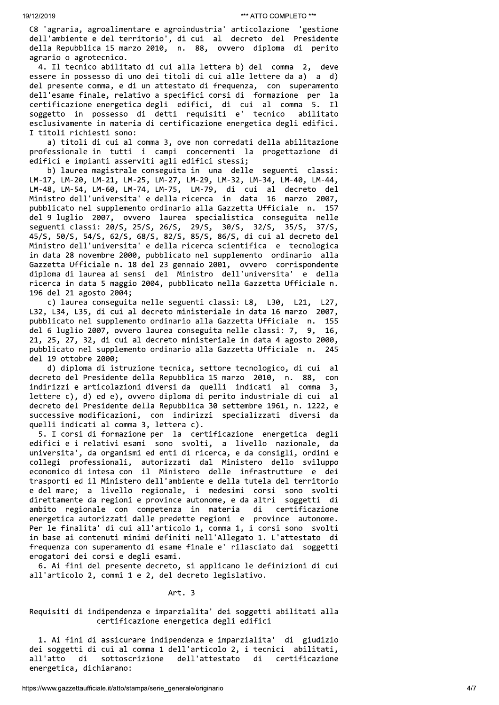C8 'agraria, agroalimentare e agroindustria' articolazione 'gestione dell'ambiente e del territorio', di cui al decreto del Presidente della Repubblica 15 marzo 2010, n. 88, ovvero diploma di perito agrario o agrotecnico.

4. Il tecnico abilitato di cui alla lettera b) del comma 2, deve essere in possesso di uno dei titoli di cui alle lettere da a) a d) del presente comma, e di un attestato di frequenza, con superamento dell'esame finale, relativo a specifici corsi di formazione per la certificazione energetica degli edifici, di cui al comma 5. Il soggetto in possesso di detti requisiti e' tecnico abilitato esclusivamente in materia di certificazione energetica degli edifici. I titoli richiesti sono:

a) titoli di cui al comma 3, ove non corredati della abilitazione professionale in tutti i campi concernenti la progettazione di edifici e impianti asserviti agli edifici stessi;

b) laurea magistrale conseguita in una delle seguenti classi: LM-17, LM-20, LM-21, LM-25, LM-27, LM-29, LM-32, LM-34, LM-40, LM-44, LM-48, LM-54, LM-60, LM-74, LM-75, LM-79, di cui al decreto del Ministro dell'universita' e della ricerca in data 16 marzo 2007, pubblicato nel supplemento ordinario alla Gazzetta Ufficiale n. 157 del 9 luglio 2007, ovvero laurea specialistica conseguita nelle seguenti classi: 20/S, 25/S, 26/S, 29/S, 30/S, 32/S, 35/S, 37/S, 45/S, 50/S, 54/S, 62/S, 68/S, 82/S, 85/S, 86/S, di cui al decreto del Ministro dell'universita' e della ricerca scientifica e tecnologica in data 28 novembre 2000, pubblicato nel supplemento ordinario alla Gazzetta Ufficiale n. 18 del 23 gennaio 2001, ovvero corrispondente diploma di laurea ai sensi del Ministro dell'universita' e della ricerca in data 5 maggio 2004, pubblicato nella Gazzetta Ufficiale n. 196 del 21 agosto 2004;

c) laurea conseguita nelle seguenti classi: L8, L30, L21, L27, L32, L34, L35, di cui al decreto ministeriale in data 16 marzo 2007, pubblicato nel supplemento ordinario alla Gazzetta Ufficiale n. 155 del 6 luglio 2007, ovvero laurea conseguita nelle classi: 7, 9, 16. 21, 25, 27, 32, di cui al decreto ministeriale in data 4 agosto 2000, pubblicato nel supplemento ordinario alla Gazzetta Ufficiale n. 245 del 19 ottobre 2000;

d) diploma di istruzione tecnica, settore tecnologico, di cui al decreto del Presidente della Repubblica 15 marzo 2010, n. 88, con indirizzi e articolazioni diversi da quelli indicati al comma 3, lettere c), d) ed e), ovvero diploma di perito industriale di cui al decreto del Presidente della Repubblica 30 settembre 1961, n. 1222, e successive modificazioni, con indirizzi specializzati diversi da quelli indicati al comma 3, lettera c).

5. I corsi di formazione per la certificazione energetica degli edifici e i relativi esami sono svolti, a livello nazionale, da universita', da organismi ed enti di ricerca, e da consigli, ordini e collegi professionali, autorizzati dal Ministero dello sviluppo economico di intesa con il Ministero delle infrastrutture e dei trasporti ed il Ministero dell'ambiente e della tutela del territorio e del mare; a livello regionale, i medesimi corsi sono svolti direttamente da regioni e province autonome, e da altri soggetti di ambito regionale con competenza in materia di certificazione energetica autorizzati dalle predette regioni e province autonome. Per le finalita' di cui all'articolo 1, comma 1, i corsi sono svolti in base ai contenuti minimi definiti nell'Allegato 1. L'attestato di frequenza con superamento di esame finale e' rilasciato dai soggetti erogatori dei corsi e degli esami.

6. Ai fini del presente decreto, si applicano le definizioni di cui all'articolo 2, commi 1 e 2, del decreto legislativo.

Art. 3

# Requisiti di indipendenza e imparzialita' dei soggetti abilitati alla certificazione energetica degli edifici

1. Ai fini di assicurare indipendenza e imparzialita' di giudizio dei soggetti di cui al comma 1 dell'articolo 2, i tecnici abilitati, all'atto di sottoscrizione dell'attestato di certificazione energetica, dichiarano: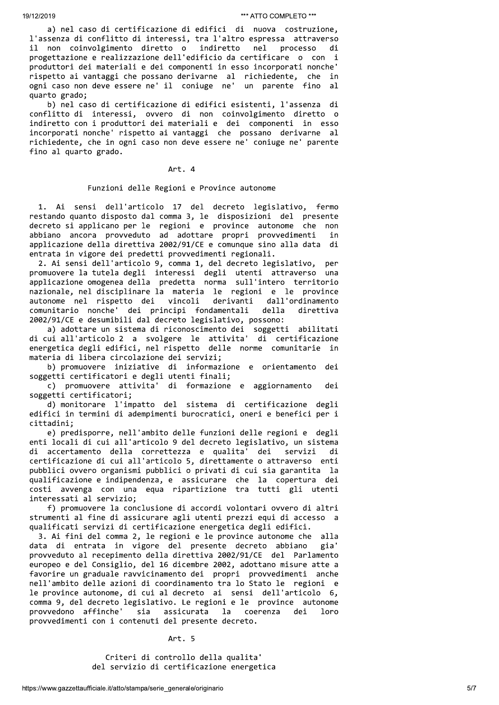a) nel caso di certificazione di edifici di nuova costruzione, l'assenza di conflitto di interessi, tra l'altro espressa attraverso processo il non coinvolgimento diretto o indiretto nel di progettazione e realizzazione dell'edificio da certificare o con i produttori dei materiali e dei componenti in esso incorporati nonche' rispetto ai vantaggi che possano derivarne al richiedente, che in ogni caso non deve essere ne' il coniuge ne' un parente fino al quarto grado;

b) nel caso di certificazione di edifici esistenti, l'assenza di conflitto di interessi, ovvero di non coinvolgimento diretto o indiretto con i produttori dei materiali e dei componenti in esso incorporati nonche' rispetto ai vantaggi che possano derivarne al richiedente, che in ogni caso non deve essere ne' coniuge ne' parente fino al quarto grado.

# Art. 4

#### Funzioni delle Regioni e Province autonome

 $1.$ Ai sensi dell'articolo 17 del decreto legislativo, fermo restando quanto disposto dal comma 3, le disposizioni del presente decreto si applicano per le regioni e province autonome che<br>abbiano ancora provveduto ad adottare propri provvedimenti non in applicazione della direttiva 2002/91/CE e comunque sino alla data di entrata in vigore dei predetti provvedimenti regionali.

2. Ai sensi dell'articolo 9, comma 1, del decreto legislativo, per promuovere la tutela degli interessi degli utenti attraverso una applicazione omogenea della predetta norma sull'intero territorio nazionale, nel disciplinare la materia le regioni e le province autonome nel rispetto dei vincoli derivanti dall'ordinamento comunitario nonche' dei principi fondamentali della direttiva 2002/91/CE e desumibili dal decreto legislativo, possono:

a) adottare un sistema di riconoscimento dei soggetti abilitati di cui all'articolo 2 a svolgere le attivita' di certificazione<br>energetica degli edifici, nel rispetto delle norme comunitarie in materia di libera circolazione dei servizi;

b) promuovere iniziative di informazione e orientamento dei soggetti certificatori e degli utenti finali;

c) promuovere attivita' di formazione e aggiornamento dei soggetti certificatori:

d) monitorare l'impatto del sistema di certificazione degli edifici in termini di adempimenti burocratici, oneri e benefici per i cittadini:

e) predisporre, nell'ambito delle funzioni delle regioni e degli enti locali di cui all'articolo 9 del decreto legislativo, un sistema di accertamento della correttezza e qualita' dei servizi di certificazione di cui all'articolo 5, direttamente o attraverso enti pubblici ovvero organismi pubblici o privati di cui sia garantita la qualificazione e indipendenza, e assicurare che la copertura dei costi avvenga con una equa ripartizione tra tutti gli utenti interessati al servizio;

f) promuovere la conclusione di accordi volontari ovvero di altri strumenti al fine di assicurare agli utenti prezzi equi di accesso a qualificati servizi di certificazione energetica degli edifici.

3. Ai fini del comma 2, le regioni e le province autonome che alla data di entrata in vigore del presente decreto abbiano gia' provveduto al recepimento della direttiva 2002/91/CE del Parlamento europeo e del Consiglio, del 16 dicembre 2002, adottano misure atte a favorire un graduale ravvicinamento dei propri provvedimenti anche nell'ambito delle azioni di coordinamento tra lo Stato le regioni e le province autonome, di cui al decreto ai sensi dell'articolo 6, comma 9, del decreto legislativo. Le regioni e le province autonome provvedono affinche' sia assicurata la coerenza dei  $10<sub>0</sub>$ provvedimenti con i contenuti del presente decreto.

Art. 5

Criteri di controllo della qualita' del servizio di certificazione energetica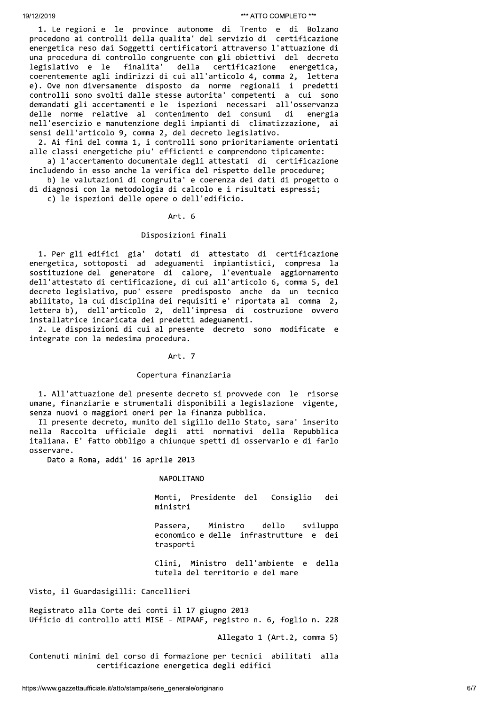1. Le regioni e le province autonome di Trento e di Bolzano procedono ai controlli della qualita' del servizio di certificazione energetica reso dai Soggetti certificatori attraverso l'attuazione di una procedura di controllo congruente con gli obiettivi del decreto legislativo e le finalita' certificazione energetica, della coerentemente agli indirizzi di cui all'articolo 4, comma 2, lettera e). Ove non diversamente disposto da norme regionali i predetti controlli sono svolti dalle stesse autorita' competenti a cui sono demandati gli accertamenti e le ispezioni necessari all'osservanza delle norme relative al contenimento dei consumi energia di nell'esercizio e manutenzione degli impianti di climatizzazione, ai sensi dell'articolo 9, comma 2, del decreto legislativo.

2. Ai fini del comma 1, i controlli sono prioritariamente orientati alle classi energetiche piu' efficienti e comprendono tipicamente:

a) l'accertamento documentale degli attestati di certificazione includendo in esso anche la verifica del rispetto delle procedure; b) le valutazioni di congruita' e coerenza dei dati di progetto o

di diagnosi con la metodologia di calcolo e i risultati espressi;

c) le ispezioni delle opere o dell'edificio.

#### Art. 6

# Disposizioni finali

1. Per gli edifici gia' dotati di attestato di certificazione<br>energetica, sottoposti ad adeguamenti impiantistici, compresa la sostituzione del generatore di calore, l'eventuale aggiornamento<br>dell'attestato di certificazione, di cui all'articolo 6, comma 5, del decreto legislativo, puo' essere predisposto anche da un tecnico abilitato, la cui disciplina dei requisiti e' riportata al comma 2,<br>lettera b), dell'articolo 2, dell'impresa di costruzione ovvero installatrice incaricata dei predetti adeguamenti.

2. Le disposizioni di cui al presente decreto sono modificate e integrate con la medesima procedura.

#### Art. 7

#### Copertura finanziaria

1. All'attuazione del presente decreto si provvede con le risorse umane, finanziarie e strumentali disponibili a legislazione vigente, senza nuovi o maggiori oneri per la finanza pubblica.

Il presente decreto, munito del sigillo dello Stato, sara' inserito nella Raccolta ufficiale degli atti normativi della Repubblica italiana. E' fatto obbligo a chiunque spetti di osservarlo e di farlo osservare.

Dato a Roma, addi' 16 aprile 2013

#### NAPOLITANO

Monti, Presidente del Consiglio dei ministri

Passera, Ministro dello sviluppo economico e delle infrastrutture e dei trasporti

Clini, Ministro dell'ambiente e della tutela del territorio e del mare

Visto, il Guardasigilli: Cancellieri

Registrato alla Corte dei conti il 17 giugno 2013 Ufficio di controllo atti MISE - MIPAAF, registro n. 6, foglio n. 228

Allegato 1 (Art.2, comma 5)

Contenuti minimi del corso di formazione per tecnici abilitati alla certificazione energetica degli edifici